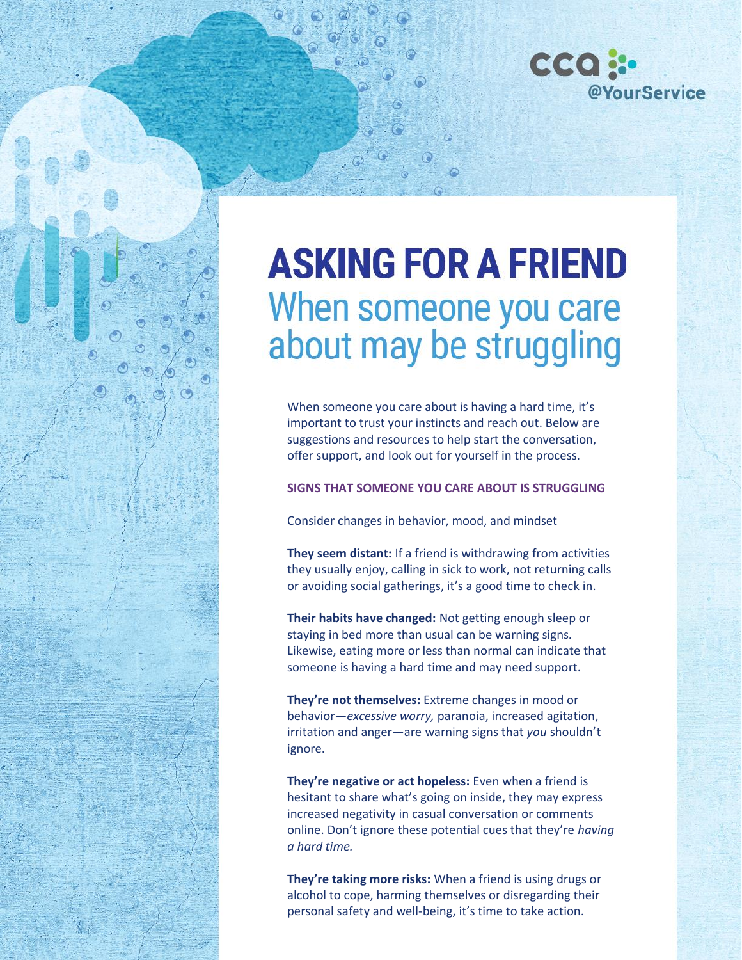

# **ASKING FOR A FRIEND** When someone you care about may be struggling

When someone you care about is having a hard time, it's important to trust your instincts and reach out. Below are suggestions and resources to help start the conversation, offer support, and look out for yourself in the process.

**SIGNS THAT SOMEONE YOU CARE ABOUT IS STRUGGLING**

Consider changes in behavior, mood, and mindset

**They seem distant:** If a friend is withdrawing from activities they usually enjoy, calling in sick to work, not returning calls or avoiding social gatherings, it's a good time to check in.

**Their habits have changed:** Not getting enough sleep or staying in bed more than usual can be warning signs*.*  Likewise, eating more or less than normal can indicate that someone is having a hard time and may need support.

**They're not themselves:** Extreme changes in mood or behavior*—excessive worry,* paranoia, increased agitation, irritation and anger*—*are warning signs that *you* shouldn't ignore.

**They're negative or act hopeless:** Even when a friend is hesitant to share what's going on inside, they may express increased negativity in casual conversation or comments online. Don't ignore these potential cues that they're *having a hard time.*

**They're taking more risks:** When a friend is using drugs or alcohol to cope, harming themselves or disregarding their personal safety and well-being, it's time to take action.